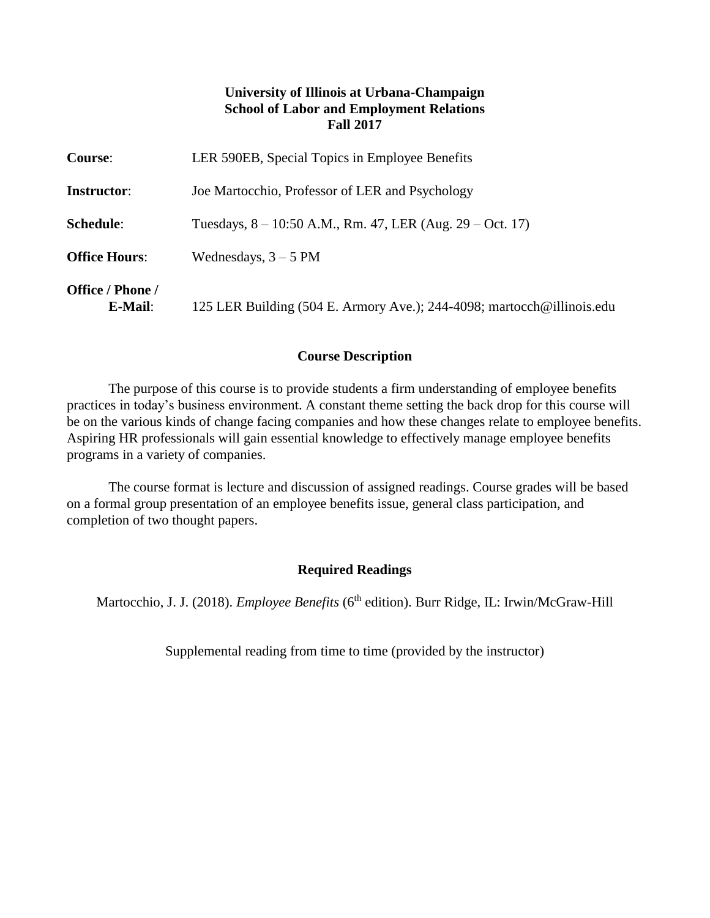# **University of Illinois at Urbana-Champaign School of Labor and Employment Relations Fall 2017**

| <b>Course:</b>              | LER 590EB, Special Topics in Employee Benefits                         |
|-----------------------------|------------------------------------------------------------------------|
| <b>Instructor:</b>          | Joe Martocchio, Professor of LER and Psychology                        |
| Schedule:                   | Tuesdays, $8 - 10:50$ A.M., Rm. 47, LER (Aug. 29 – Oct. 17)            |
| <b>Office Hours:</b>        | Wednesdays, $3 - 5$ PM                                                 |
| Office / Phone /<br>E-Mail: | 125 LER Building (504 E. Armory Ave.); 244-4098; martocch@illinois.edu |

### **Course Description**

The purpose of this course is to provide students a firm understanding of employee benefits practices in today's business environment. A constant theme setting the back drop for this course will be on the various kinds of change facing companies and how these changes relate to employee benefits. Aspiring HR professionals will gain essential knowledge to effectively manage employee benefits programs in a variety of companies.

The course format is lecture and discussion of assigned readings. Course grades will be based on a formal group presentation of an employee benefits issue, general class participation, and completion of two thought papers.

# **Required Readings**

Martocchio, J. J. (2018). *Employee Benefits* (6<sup>th</sup> edition). Burr Ridge, IL: Irwin/McGraw-Hill

Supplemental reading from time to time (provided by the instructor)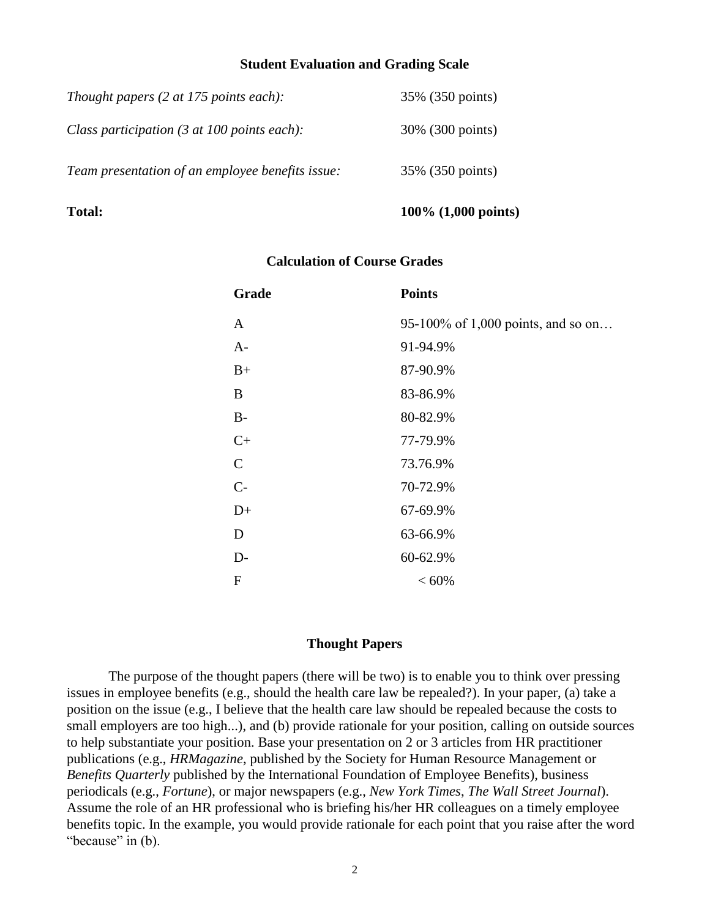#### **Student Evaluation and Grading Scale**

| Thought papers $(2 \text{ at } 175 \text{ points each})$ :      | 35% (350 points) |
|-----------------------------------------------------------------|------------------|
| Class participation $(3 \text{ at } 100 \text{ points each})$ : | 30% (300 points) |
| Team presentation of an employee benefits issue:                | 35% (350 points) |

# **Total: 100% (1,000 points)**

### **Calculation of Course Grades**

| Grade        | <b>Points</b>                      |
|--------------|------------------------------------|
| $\mathbf{A}$ | 95-100% of 1,000 points, and so on |
| $A-$         | 91-94.9%                           |
| $B+$         | 87-90.9%                           |
| B            | 83-86.9%                           |
| $B-$         | 80-82.9%                           |
| $C+$         | 77-79.9%                           |
| $\mathsf{C}$ | 73.76.9%                           |
| $C -$        | 70-72.9%                           |
| $D+$         | 67-69.9%                           |
| D            | 63-66.9%                           |
| $D-$         | 60-62.9%                           |
| F            | ${}< 60\%$                         |

# **Thought Papers**

The purpose of the thought papers (there will be two) is to enable you to think over pressing issues in employee benefits (e.g., should the health care law be repealed?). In your paper, (a) take a position on the issue (e.g., I believe that the health care law should be repealed because the costs to small employers are too high...), and (b) provide rationale for your position, calling on outside sources to help substantiate your position. Base your presentation on 2 or 3 articles from HR practitioner publications (e.g., *HRMagazine*, published by the Society for Human Resource Management or *Benefits Quarterly* published by the International Foundation of Employee Benefits), business periodicals (e.g., *Fortune*), or major newspapers (e.g., *New York Times*, *The Wall Street Journal*). Assume the role of an HR professional who is briefing his/her HR colleagues on a timely employee benefits topic. In the example, you would provide rationale for each point that you raise after the word "because" in (b).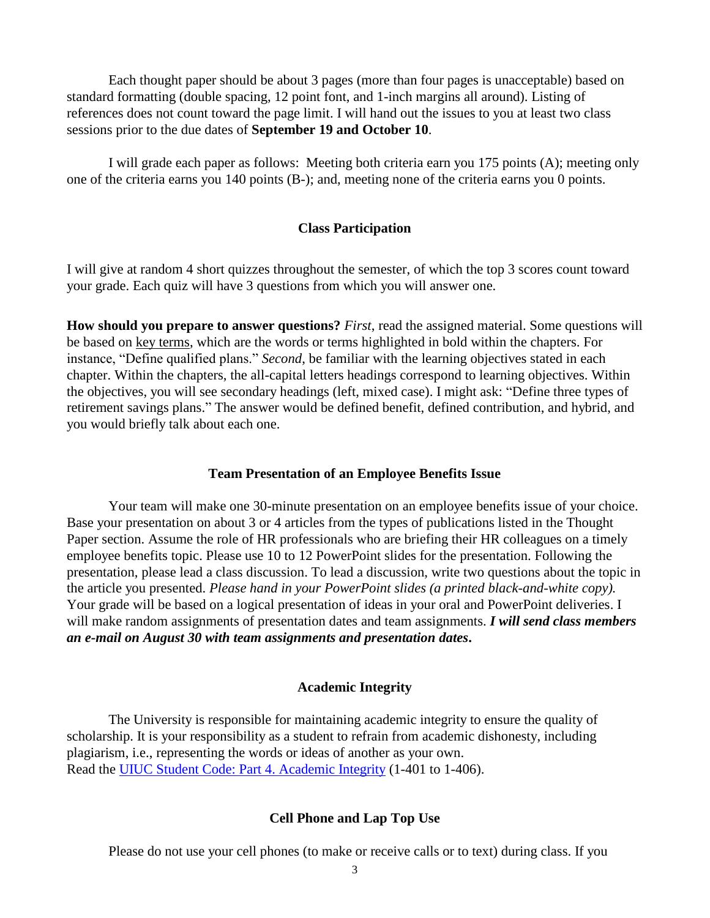Each thought paper should be about 3 pages (more than four pages is unacceptable) based on standard formatting (double spacing, 12 point font, and 1-inch margins all around). Listing of references does not count toward the page limit. I will hand out the issues to you at least two class sessions prior to the due dates of **September 19 and October 10**.

I will grade each paper as follows: Meeting both criteria earn you 175 points (A); meeting only one of the criteria earns you 140 points (B-); and, meeting none of the criteria earns you 0 points.

#### **Class Participation**

I will give at random 4 short quizzes throughout the semester, of which the top 3 scores count toward your grade. Each quiz will have 3 questions from which you will answer one.

**How should you prepare to answer questions?** *First*, read the assigned material. Some questions will be based on key terms, which are the words or terms highlighted in bold within the chapters. For instance, "Define qualified plans." *Second*, be familiar with the learning objectives stated in each chapter. Within the chapters, the all-capital letters headings correspond to learning objectives. Within the objectives, you will see secondary headings (left, mixed case). I might ask: "Define three types of retirement savings plans." The answer would be defined benefit, defined contribution, and hybrid, and you would briefly talk about each one.

#### **Team Presentation of an Employee Benefits Issue**

Your team will make one 30-minute presentation on an employee benefits issue of your choice. Base your presentation on about 3 or 4 articles from the types of publications listed in the Thought Paper section. Assume the role of HR professionals who are briefing their HR colleagues on a timely employee benefits topic. Please use 10 to 12 PowerPoint slides for the presentation. Following the presentation, please lead a class discussion. To lead a discussion, write two questions about the topic in the article you presented. *Please hand in your PowerPoint slides (a printed black-and-white copy).* Your grade will be based on a logical presentation of ideas in your oral and PowerPoint deliveries. I will make random assignments of presentation dates and team assignments. *I will send class members an e-mail on August 30 with team assignments and presentation dates***.**

#### **Academic Integrity**

The University is responsible for maintaining academic integrity to ensure the quality of scholarship. It is your responsibility as a student to refrain from academic dishonesty, including plagiarism, i.e., representing the words or ideas of another as your own. Read the [UIUC Student Code: Part 4. Academic Integrity](http://admin.illinois.edu/policy/code/article1_part4_1-401.html) (1-401 to 1-406).

# **Cell Phone and Lap Top Use**

Please do not use your cell phones (to make or receive calls or to text) during class. If you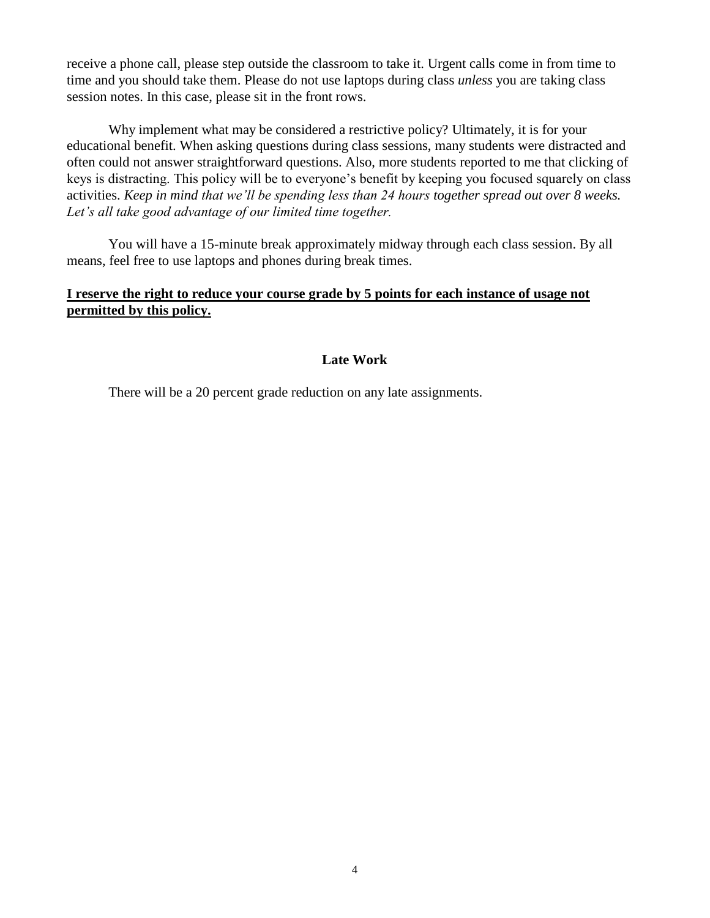receive a phone call, please step outside the classroom to take it. Urgent calls come in from time to time and you should take them. Please do not use laptops during class *unless* you are taking class session notes. In this case, please sit in the front rows.

Why implement what may be considered a restrictive policy? Ultimately, it is for your educational benefit. When asking questions during class sessions, many students were distracted and often could not answer straightforward questions. Also, more students reported to me that clicking of keys is distracting. This policy will be to everyone's benefit by keeping you focused squarely on class activities. *Keep in mind that we'll be spending less than 24 hours together spread out over 8 weeks. Let's all take good advantage of our limited time together.*

You will have a 15-minute break approximately midway through each class session. By all means, feel free to use laptops and phones during break times.

# **I reserve the right to reduce your course grade by 5 points for each instance of usage not permitted by this policy.**

# **Late Work**

There will be a 20 percent grade reduction on any late assignments.